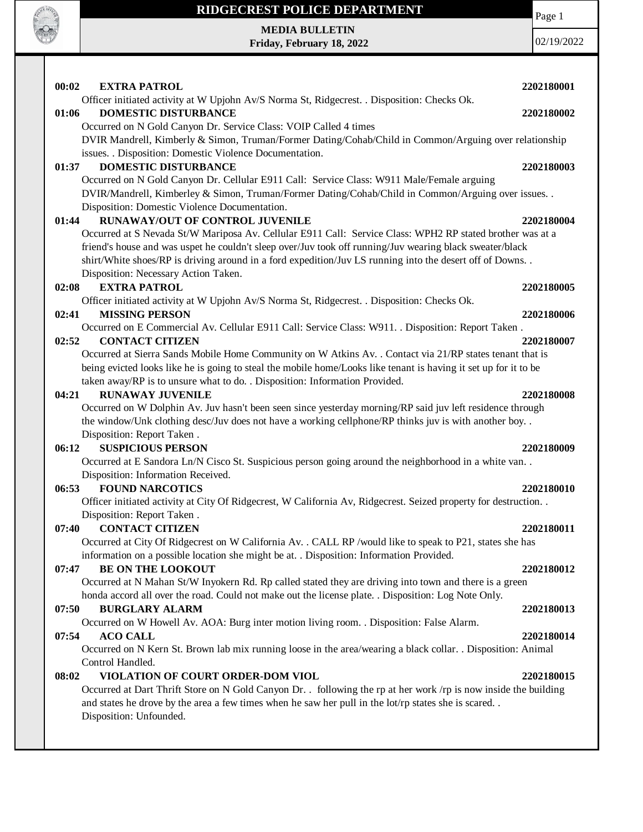

Page 1

**MEDIA BULLETIN Friday, February 18, 2022**

| 00:02 | <b>EXTRA PATROL</b>                                                                                              | 2202180001 |
|-------|------------------------------------------------------------------------------------------------------------------|------------|
|       | Officer initiated activity at W Upjohn Av/S Norma St, Ridgecrest. . Disposition: Checks Ok.                      |            |
| 01:06 | <b>DOMESTIC DISTURBANCE</b>                                                                                      | 2202180002 |
|       | Occurred on N Gold Canyon Dr. Service Class: VOIP Called 4 times                                                 |            |
|       | DVIR Mandrell, Kimberly & Simon, Truman/Former Dating/Cohab/Child in Common/Arguing over relationship            |            |
|       | issues. . Disposition: Domestic Violence Documentation.                                                          |            |
| 01:37 | <b>DOMESTIC DISTURBANCE</b>                                                                                      | 2202180003 |
|       | Occurred on N Gold Canyon Dr. Cellular E911 Call: Service Class: W911 Male/Female arguing                        |            |
|       | DVIR/Mandrell, Kimberley & Simon, Truman/Former Dating/Cohab/Child in Common/Arguing over issues. .              |            |
|       | Disposition: Domestic Violence Documentation.                                                                    |            |
| 01:44 | <b>RUNAWAY/OUT OF CONTROL JUVENILE</b>                                                                           | 2202180004 |
|       | Occurred at S Nevada St/W Mariposa Av. Cellular E911 Call: Service Class: WPH2 RP stated brother was at a        |            |
|       | friend's house and was uspet he couldn't sleep over/Juv took off running/Juv wearing black sweater/black         |            |
|       | shirt/White shoes/RP is driving around in a ford expedition/Juv LS running into the desert off of Downs          |            |
|       | Disposition: Necessary Action Taken.                                                                             |            |
| 02:08 | <b>EXTRA PATROL</b>                                                                                              | 2202180005 |
|       | Officer initiated activity at W Upjohn Av/S Norma St, Ridgecrest. . Disposition: Checks Ok.                      |            |
| 02:41 | <b>MISSING PERSON</b>                                                                                            | 2202180006 |
|       | Occurred on E Commercial Av. Cellular E911 Call: Service Class: W911. . Disposition: Report Taken.               |            |
| 02:52 | <b>CONTACT CITIZEN</b>                                                                                           | 2202180007 |
|       | Occurred at Sierra Sands Mobile Home Community on W Atkins Av. . Contact via 21/RP states tenant that is         |            |
|       | being evicted looks like he is going to steal the mobile home/Looks like tenant is having it set up for it to be |            |
|       | taken away/RP is to unsure what to do. . Disposition: Information Provided.                                      |            |
| 04:21 | <b>RUNAWAY JUVENILE</b>                                                                                          | 2202180008 |
|       | Occurred on W Dolphin Av. Juv hasn't been seen since yesterday morning/RP said juv left residence through        |            |
|       | the window/Unk clothing desc/Juv does not have a working cellphone/RP thinks juv is with another boy. .          |            |
|       | Disposition: Report Taken.                                                                                       |            |
| 06:12 | <b>SUSPICIOUS PERSON</b>                                                                                         | 2202180009 |
|       | Occurred at E Sandora Ln/N Cisco St. Suspicious person going around the neighborhood in a white van              |            |
|       | Disposition: Information Received.                                                                               |            |
| 06:53 | <b>FOUND NARCOTICS</b>                                                                                           | 2202180010 |
|       | Officer initiated activity at City Of Ridgecrest, W California Av, Ridgecrest. Seized property for destruction   |            |
|       | Disposition: Report Taken.                                                                                       |            |
| 07:40 | <b>CONTACT CITIZEN</b>                                                                                           | 2202180011 |
|       | Occurred at City Of Ridgecrest on W California Av. . CALL RP /would like to speak to P21, states she has         |            |
|       | information on a possible location she might be at. . Disposition: Information Provided.                         |            |
| 07:47 | <b>BE ON THE LOOKOUT</b>                                                                                         | 2202180012 |
|       | Occurred at N Mahan St/W Inyokern Rd. Rp called stated they are driving into town and there is a green           |            |
|       | honda accord all over the road. Could not make out the license plate. . Disposition: Log Note Only.              |            |
| 07:50 | <b>BURGLARY ALARM</b>                                                                                            | 2202180013 |
|       | Occurred on W Howell Av. AOA: Burg inter motion living room. . Disposition: False Alarm.                         |            |
| 07:54 | <b>ACO CALL</b>                                                                                                  | 2202180014 |
|       | Occurred on N Kern St. Brown lab mix running loose in the area/wearing a black collar. . Disposition: Animal     |            |
|       | Control Handled.                                                                                                 |            |
| 08:02 | VIOLATION OF COURT ORDER-DOM VIOL                                                                                | 2202180015 |
|       | Occurred at Dart Thrift Store on N Gold Canyon Dr. . following the rp at her work /rp is now inside the building |            |
|       | and states he drove by the area a few times when he saw her pull in the lot/rp states she is scared              |            |
|       | Disposition: Unfounded.                                                                                          |            |
|       |                                                                                                                  |            |
|       |                                                                                                                  |            |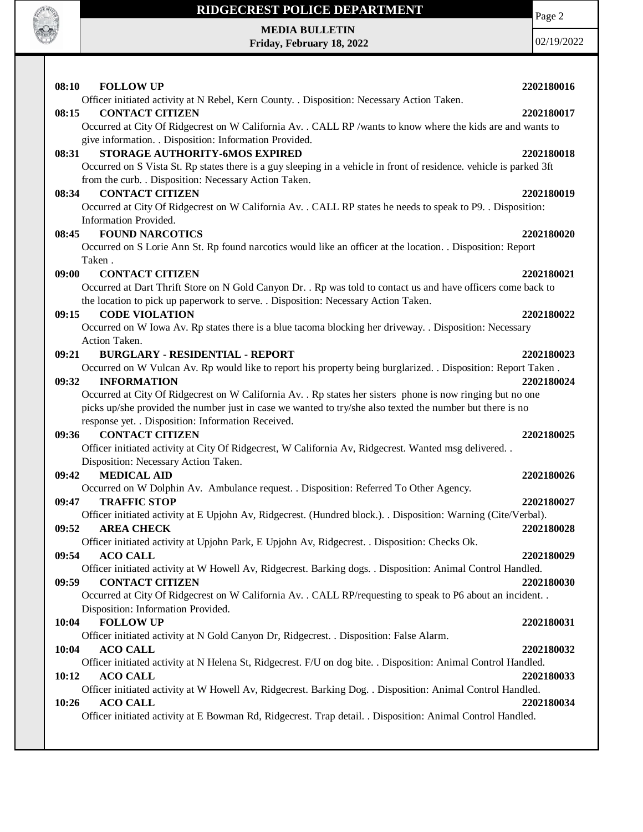

**MEDIA BULLETIN Friday, February 18, 2022** Page 2

| 08:10<br><b>FOLLOW UP</b>                                                                                            | 2202180016 |
|----------------------------------------------------------------------------------------------------------------------|------------|
| Officer initiated activity at N Rebel, Kern County. . Disposition: Necessary Action Taken.<br><b>CONTACT CITIZEN</b> |            |
| 08:15                                                                                                                | 2202180017 |
| Occurred at City Of Ridgecrest on W California Av. . CALL RP /wants to know where the kids are and wants to          |            |
| give information. . Disposition: Information Provided.                                                               |            |
| STORAGE AUTHORITY-6MOS EXPIRED<br>08:31                                                                              | 2202180018 |
| Occurred on S Vista St. Rp states there is a guy sleeping in a vehicle in front of residence. vehicle is parked 3ft  |            |
| from the curb. . Disposition: Necessary Action Taken.                                                                |            |
| <b>CONTACT CITIZEN</b><br>08:34                                                                                      | 2202180019 |
| Occurred at City Of Ridgecrest on W California Av. . CALL RP states he needs to speak to P9. . Disposition:          |            |
| Information Provided.                                                                                                |            |
| <b>FOUND NARCOTICS</b><br>08:45                                                                                      | 2202180020 |
| Occurred on S Lorie Ann St. Rp found narcotics would like an officer at the location. . Disposition: Report          |            |
| Taken.                                                                                                               |            |
| 09:00<br><b>CONTACT CITIZEN</b>                                                                                      | 2202180021 |
| Occurred at Dart Thrift Store on N Gold Canyon Dr. . Rp was told to contact us and have officers come back to        |            |
| the location to pick up paperwork to serve. . Disposition: Necessary Action Taken.                                   |            |
| <b>CODE VIOLATION</b><br>09:15                                                                                       | 2202180022 |
| Occurred on W Iowa Av. Rp states there is a blue tacoma blocking her driveway. . Disposition: Necessary              |            |
| Action Taken.                                                                                                        |            |
| 09:21<br><b>BURGLARY - RESIDENTIAL - REPORT</b>                                                                      | 2202180023 |
| Occurred on W Vulcan Av. Rp would like to report his property being burglarized. . Disposition: Report Taken.        |            |
| <b>INFORMATION</b><br>09:32                                                                                          | 2202180024 |
| Occurred at City Of Ridgecrest on W California Av. . Rp states her sisters phone is now ringing but no one           |            |
| picks up/she provided the number just in case we wanted to try/she also texted the number but there is no            |            |
| response yet. . Disposition: Information Received.                                                                   |            |
| <b>CONTACT CITIZEN</b><br>09:36                                                                                      | 2202180025 |
| Officer initiated activity at City Of Ridgecrest, W California Av, Ridgecrest. Wanted msg delivered. .               |            |
| Disposition: Necessary Action Taken.                                                                                 |            |
| <b>MEDICAL AID</b><br>09:42                                                                                          | 2202180026 |
| Occurred on W Dolphin Av. Ambulance request. . Disposition: Referred To Other Agency.                                |            |
| <b>TRAFFIC STOP</b><br>09:47                                                                                         | 2202180027 |
| Officer initiated activity at E Upjohn Av, Ridgecrest. (Hundred block.). Disposition: Warning (Cite/Verbal).         |            |
| 09:52<br><b>AREA CHECK</b>                                                                                           | 2202180028 |
| Officer initiated activity at Upjohn Park, E Upjohn Av, Ridgecrest. . Disposition: Checks Ok.                        |            |
| <b>ACO CALL</b><br>09:54                                                                                             | 2202180029 |
| Officer initiated activity at W Howell Av, Ridgecrest. Barking dogs. . Disposition: Animal Control Handled.          |            |
| <b>CONTACT CITIZEN</b><br>09:59                                                                                      | 2202180030 |
| Occurred at City Of Ridgecrest on W California Av. . CALL RP/requesting to speak to P6 about an incident. .          |            |
| Disposition: Information Provided.                                                                                   |            |
| <b>FOLLOW UP</b><br>10:04                                                                                            | 2202180031 |
| Officer initiated activity at N Gold Canyon Dr, Ridgecrest. . Disposition: False Alarm.                              |            |
| <b>ACO CALL</b><br>10:04                                                                                             | 2202180032 |
| Officer initiated activity at N Helena St, Ridgecrest. F/U on dog bite. . Disposition: Animal Control Handled.       |            |
| <b>ACO CALL</b><br>10:12                                                                                             | 2202180033 |
| Officer initiated activity at W Howell Av, Ridgecrest. Barking Dog. . Disposition: Animal Control Handled.           |            |
| <b>ACO CALL</b><br>10:26                                                                                             | 2202180034 |
| Officer initiated activity at E Bowman Rd, Ridgecrest. Trap detail. . Disposition: Animal Control Handled.           |            |
|                                                                                                                      |            |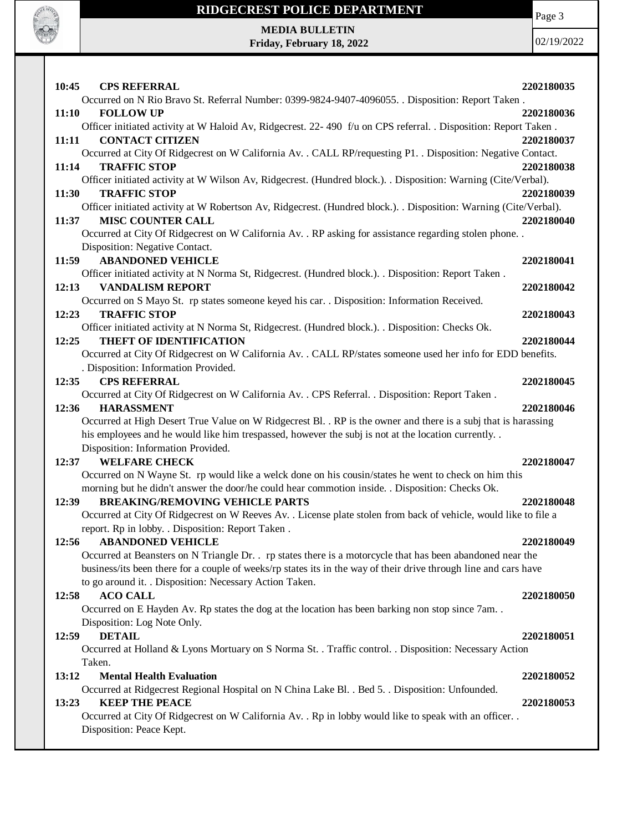

### **RIDGECREST POLICE DEPARTMENT MEDIA BULLETIN**

**Friday, February 18, 2022**

Page 3

02/19/2022

**10:45 CPS REFERRAL 2202180035** Occurred on N Rio Bravo St. Referral Number: 0399-9824-9407-4096055. . Disposition: Report Taken . **11:10 FOLLOW UP 2202180036** Officer initiated activity at W Haloid Av, Ridgecrest. 22- 490 f/u on CPS referral. . Disposition: Report Taken . **11:11 CONTACT CITIZEN 2202180037** Occurred at City Of Ridgecrest on W California Av. . CALL RP/requesting P1. . Disposition: Negative Contact. **11:14 TRAFFIC STOP 2202180038** Officer initiated activity at W Wilson Av, Ridgecrest. (Hundred block.). . Disposition: Warning (Cite/Verbal). **11:30 TRAFFIC STOP 2202180039** Officer initiated activity at W Robertson Av, Ridgecrest. (Hundred block.). . Disposition: Warning (Cite/Verbal). **11:37 MISC COUNTER CALL 2202180040** Occurred at City Of Ridgecrest on W California Av. . RP asking for assistance regarding stolen phone. . Disposition: Negative Contact. **11:59 ABANDONED VEHICLE 2202180041** Officer initiated activity at N Norma St, Ridgecrest. (Hundred block.). . Disposition: Report Taken . **12:13 VANDALISM REPORT 2202180042** Occurred on S Mayo St. rp states someone keyed his car. . Disposition: Information Received. **12:23 TRAFFIC STOP 2202180043** Officer initiated activity at N Norma St, Ridgecrest. (Hundred block.). . Disposition: Checks Ok. **12:25 THEFT OF IDENTIFICATION 2202180044** Occurred at City Of Ridgecrest on W California Av. . CALL RP/states someone used her info for EDD benefits. . Disposition: Information Provided. **12:35 CPS REFERRAL 2202180045** Occurred at City Of Ridgecrest on W California Av. . CPS Referral. . Disposition: Report Taken . **12:36 HARASSMENT 2202180046** Occurred at High Desert True Value on W Ridgecrest Bl. . RP is the owner and there is a subj that is harassing his employees and he would like him trespassed, however the subj is not at the location currently. . Disposition: Information Provided. **12:37 WELFARE CHECK 2202180047** Occurred on N Wayne St. rp would like a welck done on his cousin/states he went to check on him this morning but he didn't answer the door/he could hear commotion inside. . Disposition: Checks Ok. **12:39 BREAKING/REMOVING VEHICLE PARTS 2202180048** Occurred at City Of Ridgecrest on W Reeves Av. . License plate stolen from back of vehicle, would like to file a report. Rp in lobby. . Disposition: Report Taken . **12:56 ABANDONED VEHICLE 2202180049** Occurred at Beansters on N Triangle Dr. . rp states there is a motorcycle that has been abandoned near the business/its been there for a couple of weeks/rp states its in the way of their drive through line and cars have to go around it. . Disposition: Necessary Action Taken. **12:58 ACO CALL 2202180050** Occurred on E Hayden Av. Rp states the dog at the location has been barking non stop since 7am. . Disposition: Log Note Only. **12:59 DETAIL 2202180051** Occurred at Holland & Lyons Mortuary on S Norma St. . Traffic control. . Disposition: Necessary Action Taken. **13:12 Mental Health Evaluation 2202180052** Occurred at Ridgecrest Regional Hospital on N China Lake Bl. . Bed 5. . Disposition: Unfounded. **13:23 KEEP THE PEACE** 2202180053 Occurred at City Of Ridgecrest on W California Av. . Rp in lobby would like to speak with an officer. . Disposition: Peace Kept.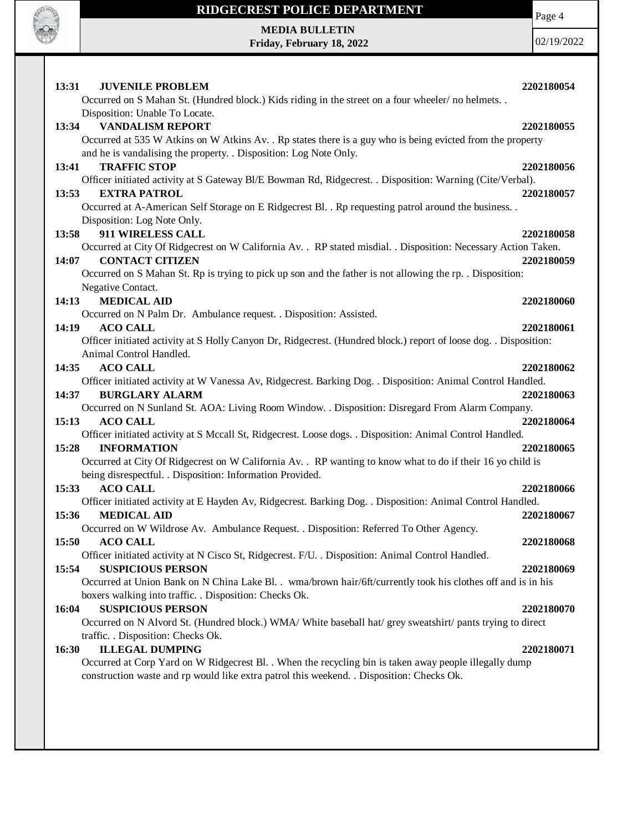

**MEDIA BULLETIN Friday, February 18, 2022** Page 4

| 13:31 | <b>JUVENILE PROBLEM</b><br>Occurred on S Mahan St. (Hundred block.) Kids riding in the street on a four wheeler/no helmets. .  | 2202180054 |
|-------|--------------------------------------------------------------------------------------------------------------------------------|------------|
|       | Disposition: Unable To Locate.                                                                                                 |            |
| 13:34 | <b>VANDALISM REPORT</b>                                                                                                        | 2202180055 |
|       | Occurred at 535 W Atkins on W Atkins Av. . Rp states there is a guy who is being evicted from the property                     |            |
|       | and he is vandalising the property. . Disposition: Log Note Only.                                                              |            |
| 13:41 | <b>TRAFFIC STOP</b>                                                                                                            | 2202180056 |
|       | Officer initiated activity at S Gateway Bl/E Bowman Rd, Ridgecrest. . Disposition: Warning (Cite/Verbal).                      |            |
| 13:53 | <b>EXTRA PATROL</b>                                                                                                            | 2202180057 |
|       | Occurred at A-American Self Storage on E Ridgecrest Bl. . Rp requesting patrol around the business. .                          |            |
|       | Disposition: Log Note Only.                                                                                                    |            |
| 13:58 | 911 WIRELESS CALL                                                                                                              | 2202180058 |
|       | Occurred at City Of Ridgecrest on W California Av. . RP stated misdial. . Disposition: Necessary Action Taken.                 |            |
| 14:07 | <b>CONTACT CITIZEN</b>                                                                                                         | 2202180059 |
|       | Occurred on S Mahan St. Rp is trying to pick up son and the father is not allowing the rp. . Disposition:<br>Negative Contact. |            |
| 14:13 | <b>MEDICAL AID</b>                                                                                                             | 2202180060 |
|       | Occurred on N Palm Dr. Ambulance request. . Disposition: Assisted.                                                             |            |
| 14:19 | <b>ACO CALL</b>                                                                                                                | 2202180061 |
|       | Officer initiated activity at S Holly Canyon Dr, Ridgecrest. (Hundred block.) report of loose dog. . Disposition:              |            |
|       | Animal Control Handled.                                                                                                        |            |
| 14:35 | <b>ACO CALL</b>                                                                                                                | 2202180062 |
|       | Officer initiated activity at W Vanessa Av, Ridgecrest. Barking Dog. . Disposition: Animal Control Handled.                    |            |
| 14:37 | <b>BURGLARY ALARM</b>                                                                                                          | 2202180063 |
|       | Occurred on N Sunland St. AOA: Living Room Window. . Disposition: Disregard From Alarm Company.                                |            |
| 15:13 | <b>ACO CALL</b>                                                                                                                | 2202180064 |
|       | Officer initiated activity at S Mccall St, Ridgecrest. Loose dogs. . Disposition: Animal Control Handled.                      |            |
| 15:28 | <b>INFORMATION</b>                                                                                                             | 2202180065 |
|       | Occurred at City Of Ridgecrest on W California Av. . RP wanting to know what to do if their 16 yo child is                     |            |
|       | being disrespectful. . Disposition: Information Provided.                                                                      |            |
| 15:33 | <b>ACO CALL</b><br>Officer initiated activity at E Hayden Av, Ridgecrest. Barking Dog. . Disposition: Animal Control Handled.  | 2202180066 |
| 15:36 | <b>MEDICAL AID</b>                                                                                                             | 2202180067 |
|       | Occurred on W Wildrose Av. Ambulance Request. . Disposition: Referred To Other Agency.                                         |            |
| 15:50 | <b>ACO CALL</b>                                                                                                                | 2202180068 |
|       | Officer initiated activity at N Cisco St, Ridgecrest. F/U. . Disposition: Animal Control Handled.                              |            |
| 15:54 | <b>SUSPICIOUS PERSON</b>                                                                                                       | 2202180069 |
|       | Occurred at Union Bank on N China Lake Bl. . wma/brown hair/6ft/currently took his clothes off and is in his                   |            |
|       | boxers walking into traffic. . Disposition: Checks Ok.                                                                         |            |
| 16:04 | <b>SUSPICIOUS PERSON</b>                                                                                                       | 2202180070 |
|       | Occurred on N Alvord St. (Hundred block.) WMA/ White baseball hat/ grey sweatshirt/ pants trying to direct                     |            |
|       | traffic. . Disposition: Checks Ok.                                                                                             |            |
| 16:30 | <b>ILLEGAL DUMPING</b>                                                                                                         | 2202180071 |
|       | Occurred at Corp Yard on W Ridgecrest Bl. . When the recycling bin is taken away people illegally dump                         |            |
|       | construction waste and rp would like extra patrol this weekend. . Disposition: Checks Ok.                                      |            |
|       |                                                                                                                                |            |
|       |                                                                                                                                |            |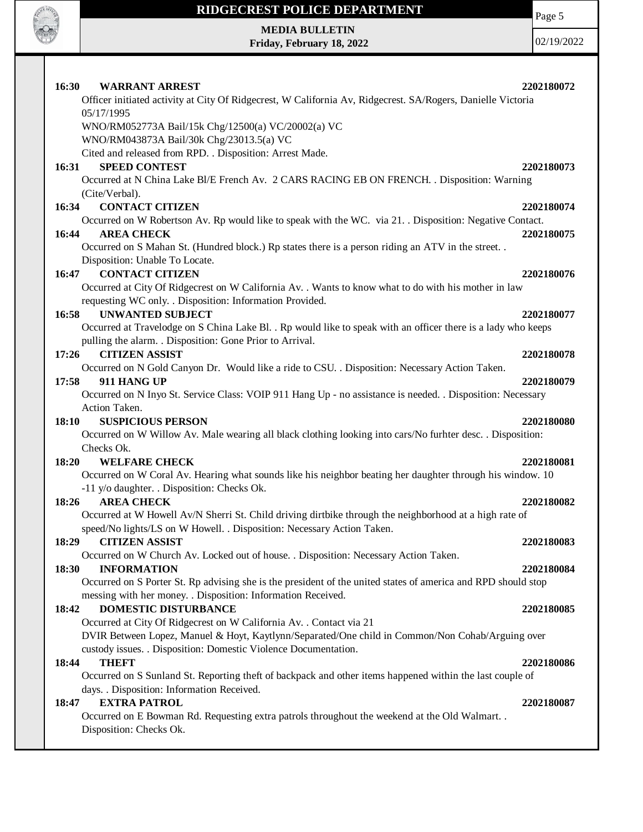

Page 5

**MEDIA BULLETIN Friday, February 18, 2022**

| <b>WARRANT ARREST</b><br><b>16:30</b>                                                                                                                            | 2202180072 |
|------------------------------------------------------------------------------------------------------------------------------------------------------------------|------------|
| Officer initiated activity at City Of Ridgecrest, W California Av, Ridgecrest. SA/Rogers, Danielle Victoria                                                      |            |
| 05/17/1995                                                                                                                                                       |            |
| WNO/RM052773A Bail/15k Chg/12500(a) VC/20002(a) VC<br>WNO/RM043873A Bail/30k Chg/23013.5(a) VC                                                                   |            |
| Cited and released from RPD. . Disposition: Arrest Made.                                                                                                         |            |
| <b>SPEED CONTEST</b><br>16:31                                                                                                                                    | 2202180073 |
| Occurred at N China Lake Bl/E French Av. 2 CARS RACING EB ON FRENCH. . Disposition: Warning                                                                      |            |
| (Cite/Verbal).                                                                                                                                                   |            |
| 16:34<br><b>CONTACT CITIZEN</b>                                                                                                                                  | 2202180074 |
| Occurred on W Robertson Av. Rp would like to speak with the WC. via 21. Disposition: Negative Contact.                                                           |            |
| <b>AREA CHECK</b><br>16:44                                                                                                                                       | 2202180075 |
| Occurred on S Mahan St. (Hundred block.) Rp states there is a person riding an ATV in the street                                                                 |            |
| Disposition: Unable To Locate.                                                                                                                                   |            |
| <b>CONTACT CITIZEN</b><br>16:47                                                                                                                                  | 2202180076 |
| Occurred at City Of Ridgecrest on W California Av. . Wants to know what to do with his mother in law<br>requesting WC only. . Disposition: Information Provided. |            |
| <b>UNWANTED SUBJECT</b><br>16:58                                                                                                                                 | 2202180077 |
| Occurred at Travelodge on S China Lake Bl. . Rp would like to speak with an officer there is a lady who keeps                                                    |            |
| pulling the alarm. . Disposition: Gone Prior to Arrival.                                                                                                         |            |
| <b>CITIZEN ASSIST</b><br>17:26                                                                                                                                   | 2202180078 |
| Occurred on N Gold Canyon Dr. Would like a ride to CSU. . Disposition: Necessary Action Taken.                                                                   |            |
| 17:58<br>911 HANG UP                                                                                                                                             | 2202180079 |
| Occurred on N Inyo St. Service Class: VOIP 911 Hang Up - no assistance is needed. . Disposition: Necessary                                                       |            |
| Action Taken.                                                                                                                                                    |            |
| <b>SUSPICIOUS PERSON</b><br>18:10                                                                                                                                | 2202180080 |
| Occurred on W Willow Av. Male wearing all black clothing looking into cars/No furhter desc. . Disposition:                                                       |            |
| Checks Ok.                                                                                                                                                       |            |
| 18:20<br><b>WELFARE CHECK</b>                                                                                                                                    | 2202180081 |
| Occurred on W Coral Av. Hearing what sounds like his neighbor beating her daughter through his window. 10                                                        |            |
| -11 y/o daughter. . Disposition: Checks Ok.<br><b>AREA CHECK</b>                                                                                                 |            |
| 18:26<br>Occurred at W Howell Av/N Sherri St. Child driving dirtbike through the neighborhood at a high rate of                                                  | 2202180082 |
| speed/No lights/LS on W Howell. . Disposition: Necessary Action Taken.                                                                                           |            |
| <b>CITIZEN ASSIST</b><br>18:29                                                                                                                                   | 2202180083 |
| Occurred on W Church Av. Locked out of house. . Disposition: Necessary Action Taken.                                                                             |            |
| <b>INFORMATION</b><br>18:30                                                                                                                                      | 2202180084 |
| Occurred on S Porter St. Rp advising she is the president of the united states of america and RPD should stop                                                    |            |
| messing with her money. . Disposition: Information Received.                                                                                                     |            |
| DOMESTIC DISTURBANCE<br>18:42                                                                                                                                    | 2202180085 |
| Occurred at City Of Ridgecrest on W California Av. . Contact via 21                                                                                              |            |
| DVIR Between Lopez, Manuel & Hoyt, Kaytlynn/Separated/One child in Common/Non Cohab/Arguing over                                                                 |            |
| custody issues. . Disposition: Domestic Violence Documentation.                                                                                                  |            |
| 18:44<br><b>THEFT</b>                                                                                                                                            | 2202180086 |
| Occurred on S Sunland St. Reporting theft of backpack and other items happened within the last couple of                                                         |            |
| days. . Disposition: Information Received.                                                                                                                       |            |
| <b>EXTRA PATROL</b><br>18:47                                                                                                                                     | 2202180087 |
| Occurred on E Bowman Rd. Requesting extra patrols throughout the weekend at the Old Walmart. .                                                                   |            |
| Disposition: Checks Ok.                                                                                                                                          |            |
|                                                                                                                                                                  |            |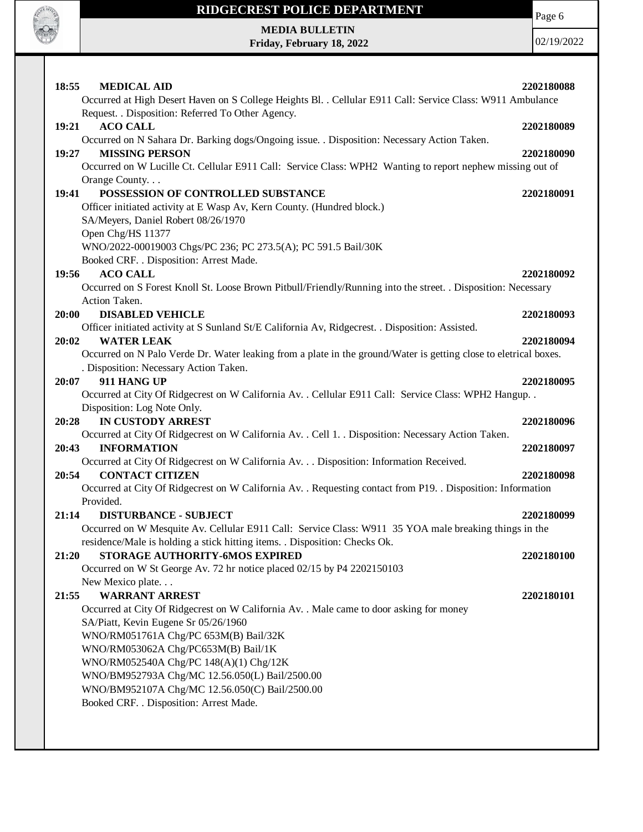

Page 6

**MEDIA BULLETIN Friday, February 18, 2022**

| 18:55 | <b>MEDICAL AID</b>                                                                                                          | 2202180088 |
|-------|-----------------------------------------------------------------------------------------------------------------------------|------------|
|       | Occurred at High Desert Haven on S College Heights Bl. . Cellular E911 Call: Service Class: W911 Ambulance                  |            |
|       | Request. . Disposition: Referred To Other Agency.                                                                           |            |
| 19:21 | <b>ACO CALL</b>                                                                                                             | 2202180089 |
|       | Occurred on N Sahara Dr. Barking dogs/Ongoing issue. . Disposition: Necessary Action Taken.                                 |            |
| 19:27 | <b>MISSING PERSON</b>                                                                                                       | 2202180090 |
|       | Occurred on W Lucille Ct. Cellular E911 Call: Service Class: WPH2 Wanting to report nephew missing out of                   |            |
|       | Orange County                                                                                                               |            |
| 19:41 | POSSESSION OF CONTROLLED SUBSTANCE                                                                                          | 2202180091 |
|       | Officer initiated activity at E Wasp Av, Kern County. (Hundred block.)                                                      |            |
|       | SA/Meyers, Daniel Robert 08/26/1970                                                                                         |            |
|       | Open Chg/HS 11377                                                                                                           |            |
|       | WNO/2022-00019003 Chgs/PC 236; PC 273.5(A); PC 591.5 Bail/30K                                                               |            |
|       | Booked CRF. . Disposition: Arrest Made.                                                                                     |            |
| 19:56 | <b>ACO CALL</b>                                                                                                             | 2202180092 |
|       | Occurred on S Forest Knoll St. Loose Brown Pitbull/Friendly/Running into the street. . Disposition: Necessary               |            |
|       | Action Taken.                                                                                                               |            |
| 20:00 | <b>DISABLED VEHICLE</b><br>Officer initiated activity at S Sunland St/E California Av, Ridgecrest. . Disposition: Assisted. | 2202180093 |
| 20:02 | <b>WATER LEAK</b>                                                                                                           |            |
|       | Occurred on N Palo Verde Dr. Water leaking from a plate in the ground/Water is getting close to eletrical boxes.            | 2202180094 |
|       | . Disposition: Necessary Action Taken.                                                                                      |            |
| 20:07 | 911 HANG UP                                                                                                                 | 2202180095 |
|       | Occurred at City Of Ridgecrest on W California Av. . Cellular E911 Call: Service Class: WPH2 Hangup. .                      |            |
|       | Disposition: Log Note Only.                                                                                                 |            |
| 20:28 | <b>IN CUSTODY ARREST</b>                                                                                                    | 2202180096 |
|       | Occurred at City Of Ridgecrest on W California Av. . Cell 1. . Disposition: Necessary Action Taken.                         |            |
| 20:43 | <b>INFORMATION</b>                                                                                                          | 2202180097 |
|       | Occurred at City Of Ridgecrest on W California Av. Disposition: Information Received.                                       |            |
| 20:54 | <b>CONTACT CITIZEN</b>                                                                                                      | 2202180098 |
|       | Occurred at City Of Ridgecrest on W California Av. . Requesting contact from P19. . Disposition: Information                |            |
|       | Provided.                                                                                                                   |            |
| 21:14 | <b>DISTURBANCE - SUBJECT</b>                                                                                                | 2202180099 |
|       | Occurred on W Mesquite Av. Cellular E911 Call: Service Class: W911 35 YOA male breaking things in the                       |            |
|       | residence/Male is holding a stick hitting items. . Disposition: Checks Ok.                                                  |            |
| 21:20 | STORAGE AUTHORITY-6MOS EXPIRED                                                                                              | 2202180100 |
|       | Occurred on W St George Av. 72 hr notice placed 02/15 by P4 2202150103                                                      |            |
|       | New Mexico plate                                                                                                            |            |
| 21:55 | <b>WARRANT ARREST</b>                                                                                                       | 2202180101 |
|       | Occurred at City Of Ridgecrest on W California Av. . Male came to door asking for money                                     |            |
|       | SA/Piatt, Kevin Eugene Sr 05/26/1960                                                                                        |            |
|       | WNO/RM051761A Chg/PC 653M(B) Bail/32K                                                                                       |            |
|       | WNO/RM053062A Chg/PC653M(B) Bail/1K                                                                                         |            |
|       | WNO/RM052540A Chg/PC 148(A)(1) Chg/12K                                                                                      |            |
|       | WNO/BM952793A Chg/MC 12.56.050(L) Bail/2500.00                                                                              |            |
|       | WNO/BM952107A Chg/MC 12.56.050(C) Bail/2500.00                                                                              |            |
|       | Booked CRF. . Disposition: Arrest Made.                                                                                     |            |
|       |                                                                                                                             |            |